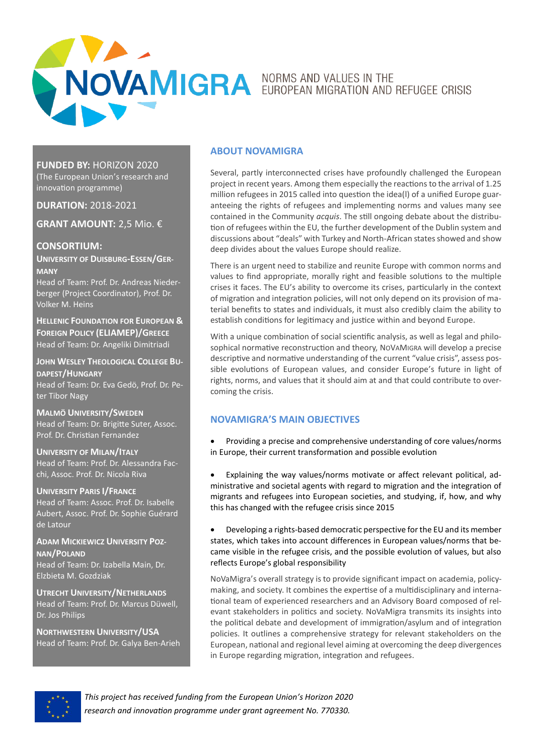

**FUNDED BY:** HORIZON 2020

(The European Union's research and innovation programme)

**DURATION:** 2018-2021

**GRANT AMOUNT:** 2,5 Mio. €

**CONSORTIUM: UNIVERSITY OF DUISBURG-ESSEN/GER-**

**MANY** Head of Team: Prof. Dr. Andreas Niederberger (Project Coordinator), Prof. Dr. Volker M. Heins

**HELLENIC FOUNDATION FOR EUROPEAN & FOREIGN POLICY (ELIAMEP)/GREECE** Head of Team: Dr. Angeliki Dimitriadi

**JOHN WESLEY THEOLOGICAL COLLEGE BU-DAPEST/HUNGARY** Head of Team: Dr. Eva Gedö, Prof. Dr. Peter Tibor Nagy

**MALMÖ UNIVERSITY/SWEDEN** Head of Team: Dr. Brigitte Suter, Assoc. Prof. Dr. Christian Fernandez

**UNIVERSITY OF MILAN/ITALY** Head of Team: Prof. Dr. Alessandra Facchi, Assoc. Prof. Dr. Nicola Riva

**UNIVERSITY PARIS I/FRANCE** Head of Team: Assoc. Prof. Dr. Isabelle Aubert, Assoc. Prof. Dr. Sophie Guérard de Latour

**ADAM MICKIEWICZ UNIVERSITY POZ-NAN/POLAND**

Head of Team: Dr. Izabella Main, Dr. Elzbieta M. Gozdziak

**UTRECHT UNIVERSITY/NETHERLANDS** Head of Team: Prof. Dr. Marcus Düwell, Dr. Jos Philips

**NORTHWESTERN UNIVERSITY/USA** Head of Team: Prof. Dr. Galya Ben-Arieh

## **ABOUT NOVAMIGRA**

Several, partly interconnected crises have profoundly challenged the European project in recent years. Among them especially the reactions to the arrival of 1.25 million refugees in 2015 called into question the idea(l) of a unified Europe guaranteeing the rights of refugees and implementing norms and values many see contained in the Community *acquis*. The still ongoing debate about the distribution of refugees within the EU, the further development of the Dublin system and discussions about "deals" with Turkey and North-African states showed and show deep divides about the values Europe should realize.

There is an urgent need to stabilize and reunite Europe with common norms and values to find appropriate, morally right and feasible solutions to the multiple crises it faces. The EU's ability to overcome its crises, particularly in the context of migration and integration policies, will not only depend on its provision of material benefits to states and individuals, it must also credibly claim the ability to establish conditions for legitimacy and justice within and beyond Europe.

With a unique combination of social scientific analysis, as well as legal and philosophical normative reconstruction and theory, NOVAMIGRA will develop a precise descriptive and normative understanding of the current "value crisis", assess possible evolutions of European values, and consider Europe's future in light of rights, norms, and values that it should aim at and that could contribute to overcoming the crisis.

# **NOVAMIGRA'S MAIN OBJECTIVES**

• Providing a precise and comprehensive understanding of core values/norms in Europe, their current transformation and possible evolution

• Explaining the way values/norms motivate or affect relevant political, administrative and societal agents with regard to migration and the integration of migrants and refugees into European societies, and studying, if, how, and why this has changed with the refugee crisis since 2015

• Developing a rights-based democratic perspective for the EU and its member states, which takes into account differences in European values/norms that became visible in the refugee crisis, and the possible evolution of values, but also reflects Europe's global responsibility

NoVaMigra's overall strategy is to provide significant impact on academia, policymaking, and society. It combines the expertise of a multidisciplinary and international team of experienced researchers and an Advisory Board composed of relevant stakeholders in politics and society. NoVaMigra transmits its insights into the political debate and development of immigration/asylum and of integration policies. It outlines a comprehensive strategy for relevant stakeholders on the European, national and regional level aiming at overcoming the deep divergences in Europe regarding migration, integration and refugees.



*This project has received funding from the European Union's Horizon 2020 research and innovation programme under grant agreement No. 770330.*